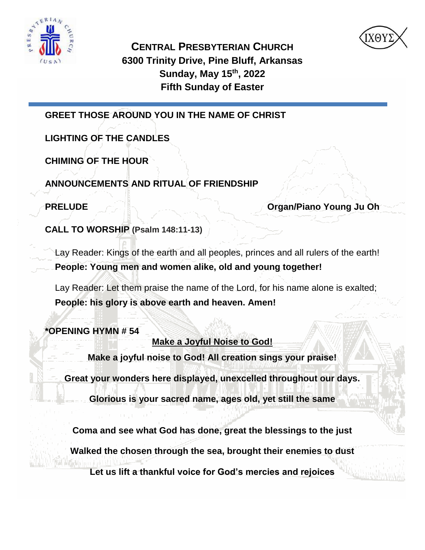



**CENTRAL PRESBYTERIAN CHURCH 6300 Trinity Drive, Pine Bluff, Arkansas Sunday, May 15th, 2022 Fifth Sunday of Easter**

**GREET THOSE AROUND YOU IN THE NAME OF CHRIST** 

**LIGHTING OF THE CANDLES**

**CHIMING OF THE HOUR**

**ANNOUNCEMENTS AND RITUAL OF FRIENDSHIP**

**PRELUDE AND RELUDE Organ/Piano Young Ju Oh** 

**CALL TO WORSHIP (Psalm 148:11-13)**

Lay Reader: Kings of the earth and all peoples, princes and all rulers of the earth! **People: Young men and women alike, old and young together!**

Lay Reader: Let them praise the name of the Lord, for his name alone is exalted; **People: his glory is above earth and heaven. Amen!**

**\*OPENING HYMN # 54**

**Make a Joyful Noise to God!**

**Make a joyful noise to God! All creation sings your praise!**

**Great your wonders here displayed, unexcelled throughout our days.**

**Glorious is your sacred name, ages old, yet still the same**

**Coma and see what God has done, great the blessings to the just**

**Walked the chosen through the sea, brought their enemies to dust**

**Let us lift a thankful voice for God's mercies and rejoices**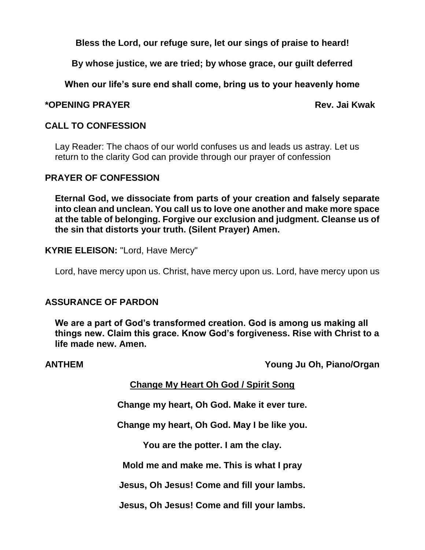**Bless the Lord, our refuge sure, let our sings of praise to heard!**

**By whose justice, we are tried; by whose grace, our guilt deferred**

**When our life's sure end shall come, bring us to your heavenly home**

#### **\*OPENING PRAYER Rev. Jai Kwak**

#### **CALL TO CONFESSION**

Lay Reader: The chaos of our world confuses us and leads us astray. Let us return to the clarity God can provide through our prayer of confession

#### **PRAYER OF CONFESSION**

**Eternal God, we dissociate from parts of your creation and falsely separate into clean and unclean. You call us to love one another and make more space at the table of belonging. Forgive our exclusion and judgment. Cleanse us of the sin that distorts your truth. (Silent Prayer) Amen.**

**KYRIE ELEISON:** "Lord, Have Mercy"

Lord, have mercy upon us. Christ, have mercy upon us. Lord, have mercy upon us

### **ASSURANCE OF PARDON**

**We are a part of God's transformed creation. God is among us making all things new. Claim this grace. Know God's forgiveness. Rise with Christ to a life made new. Amen.**

**ANTHEM Young Ju Oh, Piano/Organ**

#### **Change My Heart Oh God / Spirit Song**

**Change my heart, Oh God. Make it ever ture.**

**Change my heart, Oh God. May I be like you.**

**You are the potter. I am the clay.**

**Mold me and make me. This is what I pray**

**Jesus, Oh Jesus! Come and fill your lambs.**

**Jesus, Oh Jesus! Come and fill your lambs.**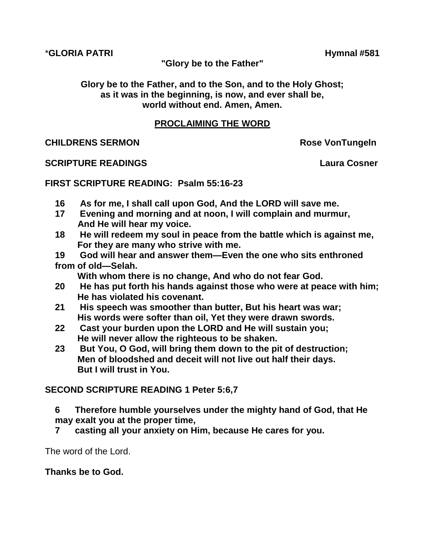\***GLORIA PATRI Hymnal #581**

**"Glory be to the Father"**

**Glory be to the Father, and to the Son, and to the Holy Ghost; as it was in the beginning, is now, and ever shall be, world without end. Amen, Amen.**

#### **PROCLAIMING THE WORD**

**CHILDRENS SERMON CHILDRENS SERMON** 

#### **SCRIPTURE READINGS Laura Cosner**

#### **FIRST SCRIPTURE READING: Psalm 55:16-23**

- **16 As for me, I shall call upon God, And the LORD will save me.**
- **17 Evening and morning and at noon, I will complain and murmur, And He will hear my voice.**
- **18 He will redeem my soul in peace from the battle which is against me, For they are many who strive with me.**
- **19 God will hear and answer them—Even the one who sits enthroned from of old—Selah.**

 **With whom there is no change, And who do not fear God.**

- **20 He has put forth his hands against those who were at peace with him; He has violated his covenant.**
- **21 His speech was smoother than butter, But his heart was war; His words were softer than oil, Yet they were drawn swords.**
- **22 Cast your burden upon the LORD and He will sustain you; He will never allow the righteous to be shaken.**
- **23 But You, O God, will bring them down to the pit of destruction; Men of bloodshed and deceit will not live out half their days. But I will trust in You.**

### **SECOND SCRIPTURE READING 1 Peter 5:6,7**

- **6 Therefore humble yourselves under the mighty hand of God, that He may exalt you at the proper time,**
- **7 casting all your anxiety on Him, because He cares for you.**

The word of the Lord.

#### **Thanks be to God.**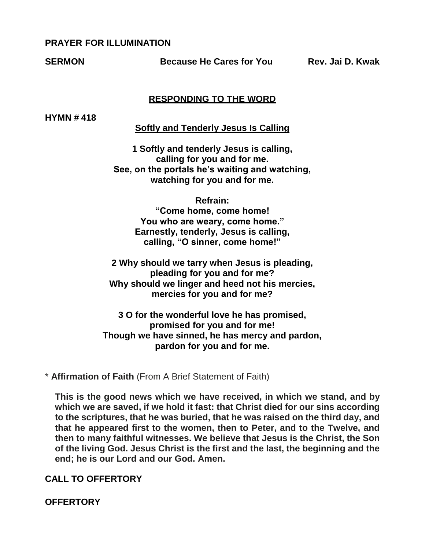#### **PRAYER FOR ILLUMINATION**

**SERMON Because He Cares for You Rev. Jai D. Kwak**

#### **RESPONDING TO THE WORD**

**HYMN # 418** 

**Softly and Tenderly Jesus Is Calling**

**1 Softly and tenderly Jesus is calling, calling for you and for me. See, on the portals he's waiting and watching, watching for you and for me.**

**Refrain:**

**"Come home, come home! You who are weary, come home." Earnestly, tenderly, Jesus is calling, calling, "O sinner, come home!"**

**2 Why should we tarry when Jesus is pleading, pleading for you and for me? Why should we linger and heed not his mercies, mercies for you and for me?**

**3 O for the wonderful love he has promised, promised for you and for me! Though we have sinned, he has mercy and pardon, pardon for you and for me.**

\* **Affirmation of Faith** (From A Brief Statement of Faith)

**This is the good news which we have received, in which we stand, and by which we are saved, if we hold it fast: that Christ died for our sins according to the scriptures, that he was buried, that he was raised on the third day, and that he appeared first to the women, then to Peter, and to the Twelve, and then to many faithful witnesses. We believe that Jesus is the Christ, the Son of the living God. Jesus Christ is the first and the last, the beginning and the end; he is our Lord and our God. Amen.**

**CALL TO OFFERTORY**

**OFFERTORY**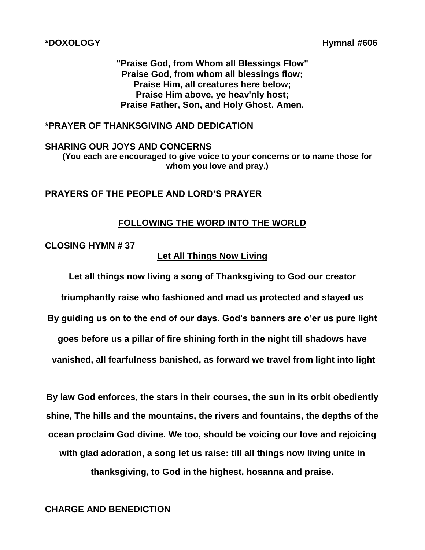**"Praise God, from Whom all Blessings Flow" Praise God, from whom all blessings flow; Praise Him, all creatures here below; Praise Him above, ye heav'nly host; Praise Father, Son, and Holy Ghost. Amen.**

#### **\*PRAYER OF THANKSGIVING AND DEDICATION**

**SHARING OUR JOYS AND CONCERNS**

**(You each are encouraged to give voice to your concerns or to name those for whom you love and pray.)**

#### **PRAYERS OF THE PEOPLE AND LORD'S PRAYER**

#### **FOLLOWING THE WORD INTO THE WORLD**

#### **CLOSING HYMN # 37**

#### **Let All Things Now Living**

**Let all things now living a song of Thanksgiving to God our creator**

**triumphantly raise who fashioned and mad us protected and stayed us**

**By guiding us on to the end of our days. God's banners are o'er us pure light** 

**goes before us a pillar of fire shining forth in the night till shadows have**

**vanished, all fearfulness banished, as forward we travel from light into light**

**By law God enforces, the stars in their courses, the sun in its orbit obediently shine, The hills and the mountains, the rivers and fountains, the depths of the ocean proclaim God divine. We too, should be voicing our love and rejoicing with glad adoration, a song let us raise: till all things now living unite in thanksgiving, to God in the highest, hosanna and praise.**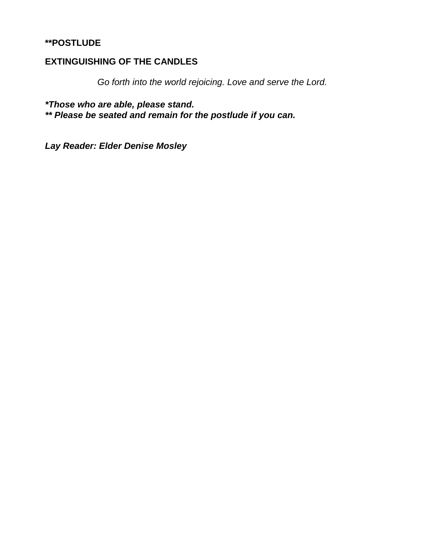#### **\*\*POSTLUDE**

#### **EXTINGUISHING OF THE CANDLES**

*Go forth into the world rejoicing. Love and serve the Lord.*

*\*Those who are able, please stand. \*\* Please be seated and remain for the postlude if you can.*

*Lay Reader: Elder Denise Mosley*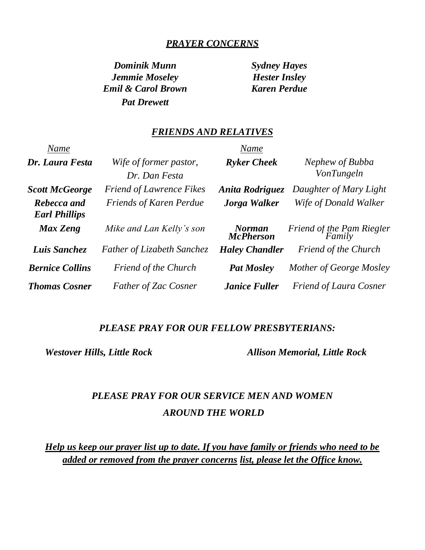#### *PRAYER CONCERNS*

*Dominik Munn Sydney Hayes Jemmie Moseley Hester Insley Emil & Carol Brown Karen Perdue Pat Drewett*

#### *FRIENDS AND RELATIVES*

| Name                                |                                         | Name                              |                                      |
|-------------------------------------|-----------------------------------------|-----------------------------------|--------------------------------------|
| Dr. Laura Festa                     | Wife of former pastor,<br>Dr. Dan Festa | <b>Ryker Cheek</b>                | Nephew of Bubba<br><b>VonTungeln</b> |
| <b>Scott McGeorge</b>               | <b>Friend of Lawrence Fikes</b>         | Anita Rodriguez                   | Daughter of Mary Light               |
| Rebecca and<br><b>Earl Phillips</b> | <b>Friends of Karen Perdue</b>          | Jorga Walker                      | Wife of Donald Walker                |
| Max Zeng                            | Mike and Lan Kelly's son                | <b>Norman</b><br><b>McPherson</b> | Friend of the Pam Riegler<br>Family  |
| Luis Sanchez                        | <b>Father of Lizabeth Sanchez</b>       | <b>Haley Chandler</b>             | <b>Friend of the Church</b>          |
| <b>Bernice Collins</b>              | <b>Friend of the Church</b>             | <b>Pat Mosley</b>                 | Mother of George Mosley              |
| <b>Thomas Cosner</b>                | <b>Father of Zac Cosner</b>             | <b>Janice Fuller</b>              | <b>Friend of Laura Cosner</b>        |

#### *PLEASE PRAY FOR OUR FELLOW PRESBYTERIANS:*

*Westover Hills, Little Rock Allison Memorial, Little Rock*

## *PLEASE PRAY FOR OUR SERVICE MEN AND WOMEN AROUND THE WORLD*

*Help us keep our prayer list up to date. If you have family or friends who need to be added or removed from the prayer concerns list, please let the Office know.*